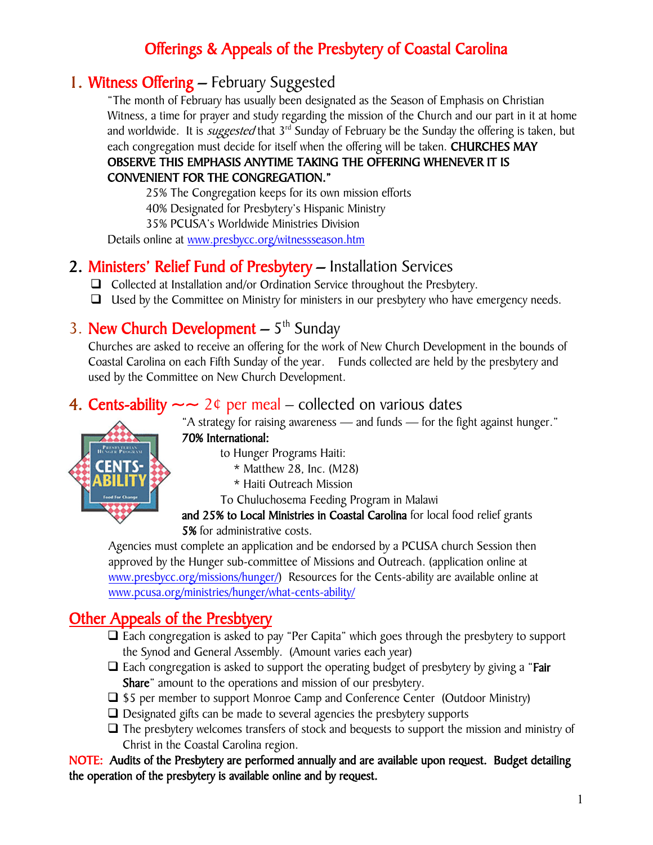# Offerings & Appeals of the Presbytery of Coastal Carolina

# 1. Witness Offering – February Suggested

"The month of February has usually been designated as the Season of Emphasis on Christian Witness, a time for prayer and study regarding the mission of the Church and our part in it at home and worldwide. It is *suggested* that 3<sup>rd</sup> Sunday of February be the Sunday the offering is taken, but each congregation must decide for itself when the offering will be taken. CHURCHES MAY OBSERVE THIS EMPHASIS ANYTIME TAKING THE OFFERING WHENEVER IT IS

### CONVENIENT FOR THE CONGREGATION."

25% The Congregation keeps for its own mission efforts 40% Designated for Presbytery's Hispanic Ministry

35% PCUSA's Worldwide Ministries Division

Details online at [www.presbycc.org/witnessseason.htm](http://www.presbycc.org/witnessseason.htm)

## 2. Ministers' Relief Fund of Presbytery – Installation Services

- □ Collected at Installation and/or Ordination Service throughout the Presbytery.
- $\Box$  Used by the Committee on Ministry for ministers in our presbytery who have emergency needs.

# 3. New Church Development  $-5<sup>th</sup>$  Sunday

Churches are asked to receive an offering for the work of New Church Development in the bounds of Coastal Carolina on each Fifth Sunday of the year. Funds collected are held by the presbytery and used by the Committee on New Church Development.

## 4. Cents-ability  $\sim$  2¢ per meal – collected on various dates

"A strategy for raising awareness — and funds — for the fight against hunger."

70% International:

to Hunger Programs Haiti:

- $*$  Matthew 28, Inc. (M28)
- \* Haiti Outreach Mission

To Chuluchosema Feeding Program in Malawi

and 25% to Local Ministries in Coastal Carolina for local food relief grants 5% for administrative costs.

Agencies must complete an application and be endorsed by a PCUSA church Session then approved by the Hunger sub-committee of Missions and Outreach. (application online at [www.presbycc.org/missions/hunger/\)](http://www.presbycc.org/missions/hunger/) Resources for the Cents-ability are available online at [www.pcusa.org/ministries/hunger/what-cents-ability/](http://www.pcusa.org/ministries/hunger/what-cents-ability/)

# Other Appeals of the Presbtyery

- $\Box$  Each congregation is asked to pay "Per Capita" which goes through the presbytery to support the Synod and General Assembly. (Amount varies each year)
- $\Box$  Each congregation is asked to support the operating budget of presbytery by giving a "Fair **Share**" amount to the operations and mission of our presbytery.
- $\Box$  \$5 per member to support Monroe Camp and Conference Center (Outdoor Ministry)
- $\Box$  Designated gifts can be made to several agencies the presbytery supports
- $\Box$  The presbytery welcomes transfers of stock and bequests to support the mission and ministry of Christ in the Coastal Carolina region.

NOTE: Audits of the Presbytery are performed annually and are available upon request. Budget detailing the operation of the presbytery is available online and by request.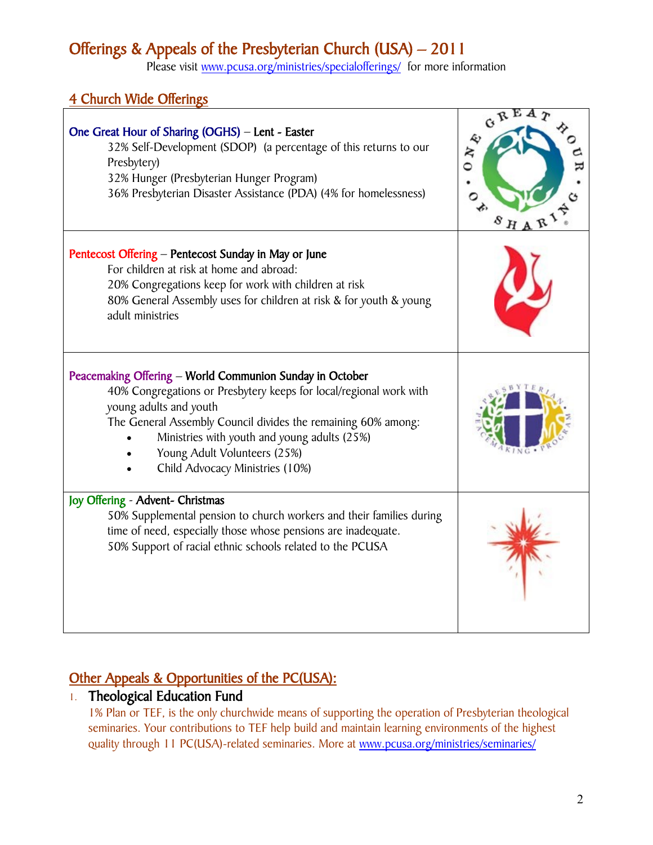# Offerings & Appeals of the Presbyterian Church (USA) – 2011

Please visit [www.pcusa.org/ministries/specialofferings/](http://www.pcusa.org/ministries/specialofferings/) for more information

## 4 Church Wide Offerings

| One Great Hour of Sharing (OGHS) - Lent - Easter<br>32% Self-Development (SDOP) (a percentage of this returns to our<br>Presbytery)<br>32% Hunger (Presbyterian Hunger Program)<br>36% Presbyterian Disaster Assistance (PDA) (4% for homelessness)                                                                                          | $G^{RLA}$<br>$0 N_{\frac{k}{2}}$ |
|----------------------------------------------------------------------------------------------------------------------------------------------------------------------------------------------------------------------------------------------------------------------------------------------------------------------------------------------|----------------------------------|
| Pentecost Offering - Pentecost Sunday in May or June<br>For children at risk at home and abroad:<br>20% Congregations keep for work with children at risk<br>80% General Assembly uses for children at risk & for youth & young<br>adult ministries                                                                                          |                                  |
| Peacemaking Offering - World Communion Sunday in October<br>40% Congregations or Presbytery keeps for local/regional work with<br>young adults and youth<br>The General Assembly Council divides the remaining 60% among:<br>Ministries with youth and young adults (25%)<br>Young Adult Volunteers (25%)<br>Child Advocacy Ministries (10%) |                                  |
| Joy Offering - Advent- Christmas<br>50% Supplemental pension to church workers and their families during<br>time of need, especially those whose pensions are inadequate.<br>50% Support of racial ethnic schools related to the PCUSA                                                                                                       |                                  |

## Other Appeals & Opportunities of the PC(USA):

### 1. Theological Education Fund

1% Plan or TEF, is the only churchwide means of supporting the operation of Presbyterian theological seminaries. Your contributions to TEF help build and maintain learning environments of the highest quality through 11 PC(USA)-related seminaries. More at www.pcusa.org/ministries/seminaries/